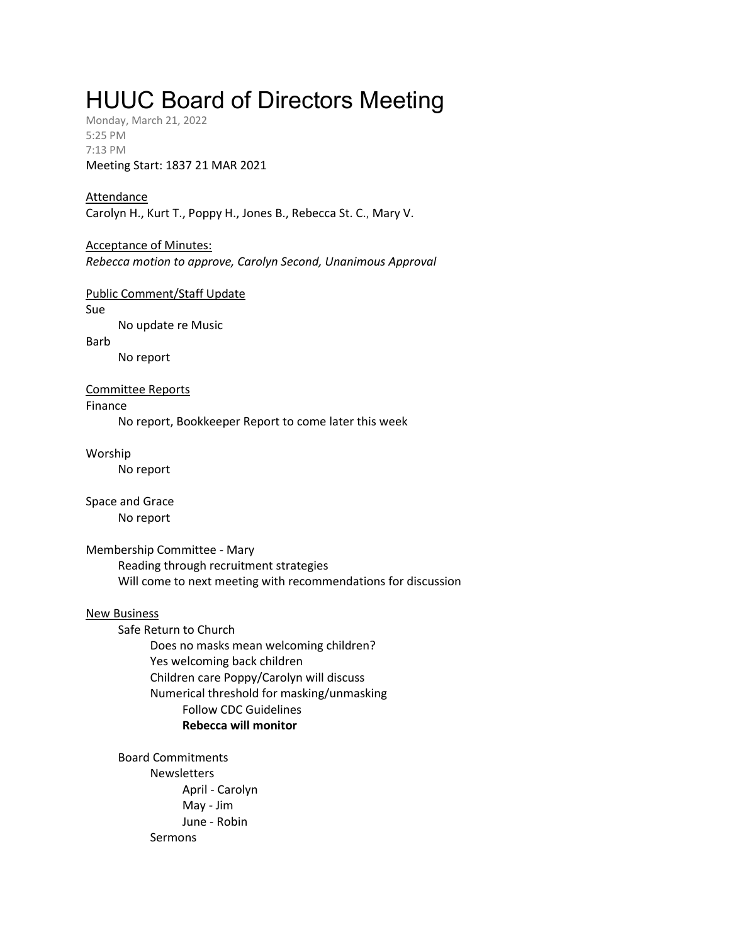# HUUC Board of Directors Meeting

Monday, March 21, 2022 5:25 PM 7:13 PM Meeting Start: 1837 21 MAR 2021

# Attendance

Carolyn H., Kurt T., Poppy H., Jones B., Rebecca St. C., Mary V.

## Acceptance of Minutes:

Rebecca motion to approve, Carolyn Second, Unanimous Approval

#### Public Comment/Staff Update

Sue

No update re Music

Barb

No report

#### Committee Reports

Finance

No report, Bookkeeper Report to come later this week

Worship

No report

Space and Grace No report

#### Membership Committee - Mary

Reading through recruitment strategies Will come to next meeting with recommendations for discussion

#### New Business

Safe Return to Church Does no masks mean welcoming children? Yes welcoming back children Children care Poppy/Carolyn will discuss Numerical threshold for masking/unmasking Follow CDC Guidelines Rebecca will monitor

Board Commitments **Newsletters** April - Carolyn May - Jim June - Robin Sermons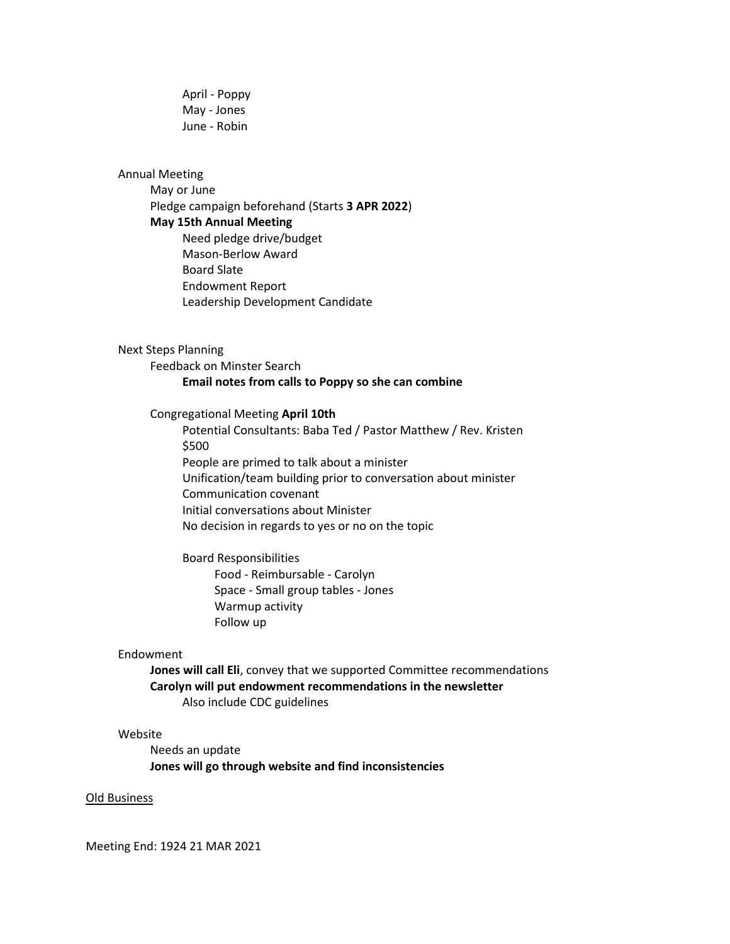April - Poppy May - Jones June - Robin

#### Annual Meeting

May or June Pledge campaign beforehand (Starts 3 APR 2022) May 15th Annual Meeting Need pledge drive/budget Mason-Berlow Award Board Slate Endowment Report Leadership Development Candidate

#### Next Steps Planning

Feedback on Minster Search Email notes from calls to Poppy so she can combine

#### Congregational Meeting April 10th

Potential Consultants: Baba Ted / Pastor Matthew / Rev. Kristen \$500 People are primed to talk about a minister Unification/team building prior to conversation about minister Communication covenant Initial conversations about Minister

No decision in regards to yes or no on the topic

# Board Responsibilities

Food - Reimbursable - Carolyn Space - Small group tables - Jones Warmup activity Follow up

#### Endowment

Jones will call Eli, convey that we supported Committee recommendations Carolyn will put endowment recommendations in the newsletter Also include CDC guidelines

# Website

Needs an update Jones will go through website and find inconsistencies

#### Old Business

Meeting End: 1924 21 MAR 2021